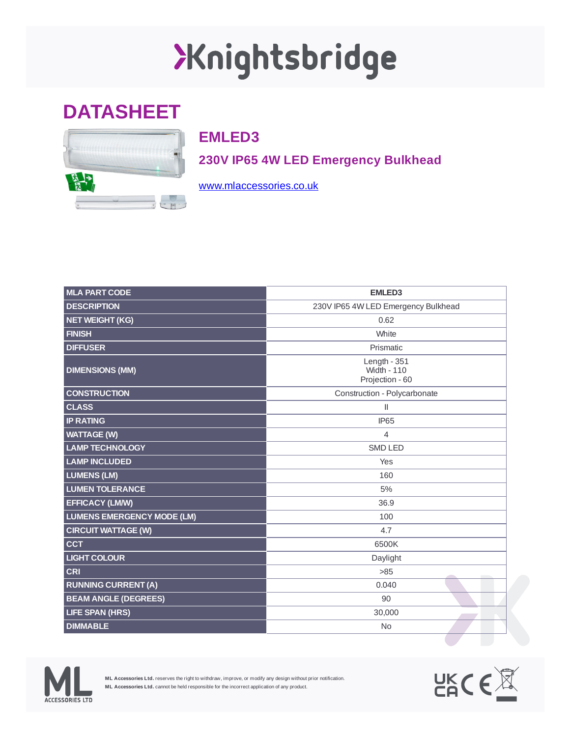## XKnightsbridge

## **DATASHEET**



## **EMLED3**

**230V IP65 4W LED Emergency Bulkhead**

[www.mlaccessories.co.uk](https://www.mlaccessories.co.uk/)

| <b>MLA PART CODE</b>              | <b>EMLED3</b>                                           |
|-----------------------------------|---------------------------------------------------------|
| <b>DESCRIPTION</b>                | 230V IP65 4W LED Emergency Bulkhead                     |
| <b>NET WEIGHT (KG)</b>            | 0.62                                                    |
| <b>FINISH</b>                     | White                                                   |
| <b>DIFFUSER</b>                   | Prismatic                                               |
| <b>DIMENSIONS (MM)</b>            | Length - $351$<br><b>Width - 110</b><br>Projection - 60 |
| <b>CONSTRUCTION</b>               | Construction - Polycarbonate                            |
| <b>CLASS</b>                      | Ш                                                       |
| <b>IP RATING</b>                  | <b>IP65</b>                                             |
| <b>WATTAGE (W)</b>                | 4                                                       |
| <b>LAMP TECHNOLOGY</b>            | <b>SMD LED</b>                                          |
| <b>LAMP INCLUDED</b>              | Yes                                                     |
| <b>LUMENS (LM)</b>                | 160                                                     |
| <b>LUMEN TOLERANCE</b>            | 5%                                                      |
| <b>EFFICACY (LM/W)</b>            | 36.9                                                    |
| <b>LUMENS EMERGENCY MODE (LM)</b> | 100                                                     |
| <b>CIRCUIT WATTAGE (W)</b>        | 4.7                                                     |
| <b>CCT</b>                        | 6500K                                                   |
| <b>LIGHT COLOUR</b>               | Daylight                                                |
| <b>CRI</b>                        | >85                                                     |
| <b>RUNNING CURRENT (A)</b>        | 0.040                                                   |
| <b>BEAM ANGLE (DEGREES)</b>       | 90                                                      |
| <b>LIFE SPAN (HRS)</b>            | 30,000                                                  |
| <b>DIMMABLE</b>                   | <b>No</b>                                               |
|                                   |                                                         |



**ML Accessories Ltd.** reserves the right to withdraw, improve, or modify any design without prior notification. **ML Accessories Ltd.** cannot be held responsible for the incorrect application of any product.